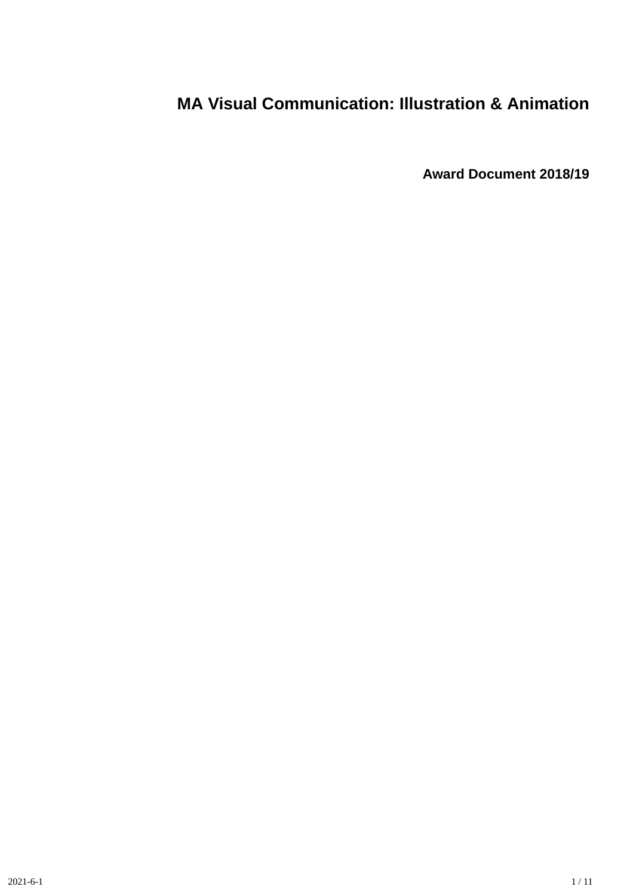# **MA Visual Communication: Illustration & Animation**

**Award Document 2018/19**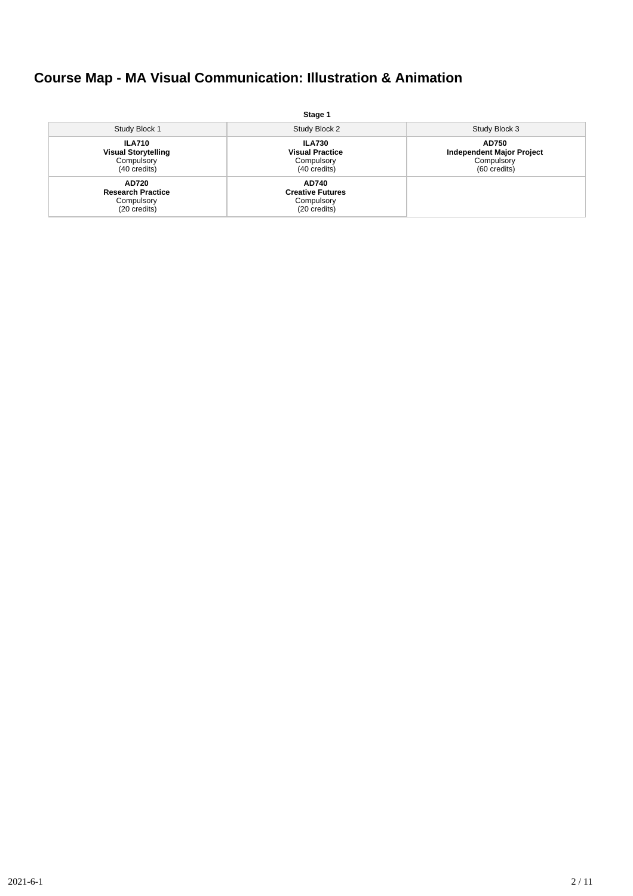# **Course Map - MA Visual Communication: Illustration & Animation**

|                                                                           | Stage 1                                                               |                                                                         |
|---------------------------------------------------------------------------|-----------------------------------------------------------------------|-------------------------------------------------------------------------|
| Study Block 1                                                             | Study Block 2                                                         | Study Block 3                                                           |
| <b>ILA710</b><br><b>Visual Storytelling</b><br>Compulsory<br>(40 credits) | <b>ILA730</b><br><b>Visual Practice</b><br>Compulsory<br>(40 credits) | AD750<br><b>Independent Major Project</b><br>Compulsory<br>(60 credits) |
| AD720<br><b>Research Practice</b><br>Compulsory<br>(20 credits)           | <b>AD740</b><br><b>Creative Futures</b><br>Compulsory<br>(20 credits) |                                                                         |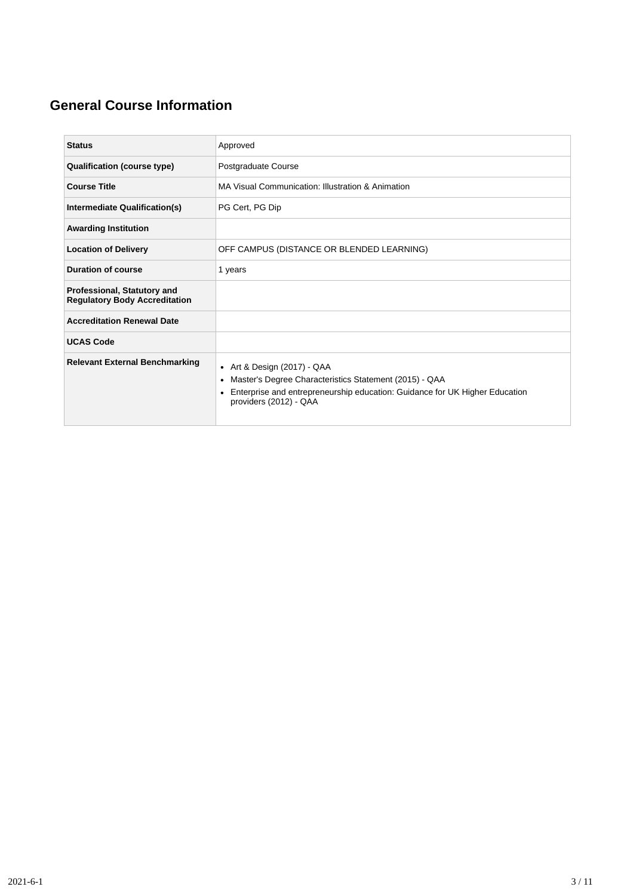## **General Course Information**

| <b>Status</b>                                                       | Approved                                                                                                                                                                                                                   |
|---------------------------------------------------------------------|----------------------------------------------------------------------------------------------------------------------------------------------------------------------------------------------------------------------------|
| <b>Qualification (course type)</b>                                  | Postgraduate Course                                                                                                                                                                                                        |
| <b>Course Title</b>                                                 | MA Visual Communication: Illustration & Animation                                                                                                                                                                          |
| Intermediate Qualification(s)                                       | PG Cert, PG Dip                                                                                                                                                                                                            |
| <b>Awarding Institution</b>                                         |                                                                                                                                                                                                                            |
| <b>Location of Delivery</b>                                         | OFF CAMPUS (DISTANCE OR BLENDED LEARNING)                                                                                                                                                                                  |
| <b>Duration of course</b>                                           | 1 years                                                                                                                                                                                                                    |
| Professional, Statutory and<br><b>Regulatory Body Accreditation</b> |                                                                                                                                                                                                                            |
| <b>Accreditation Renewal Date</b>                                   |                                                                                                                                                                                                                            |
| <b>UCAS Code</b>                                                    |                                                                                                                                                                                                                            |
| <b>Relevant External Benchmarking</b>                               | • Art & Design $(2017)$ - QAA<br>Master's Degree Characteristics Statement (2015) - QAA<br>$\bullet$<br>Enterprise and entrepreneurship education: Guidance for UK Higher Education<br>$\bullet$<br>providers (2012) - QAA |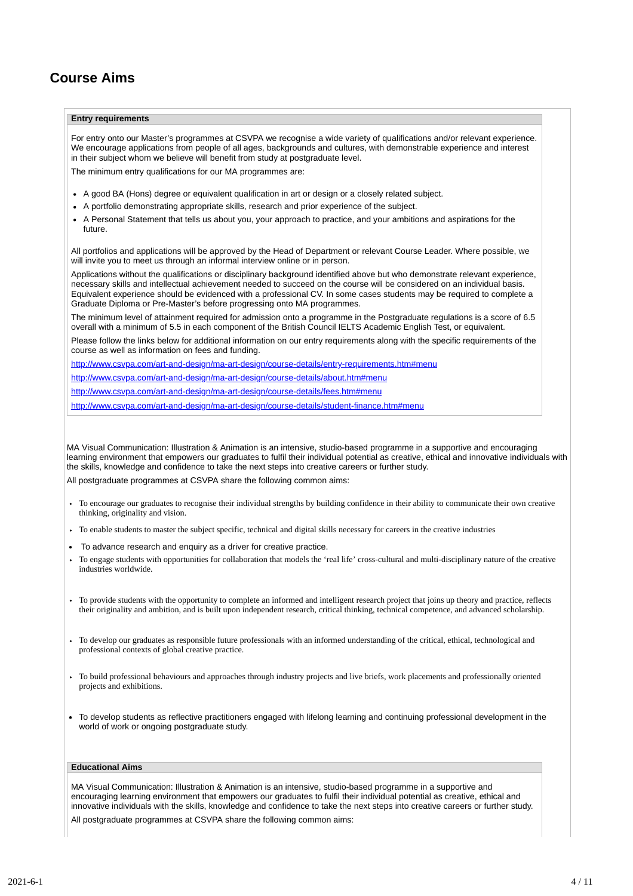### **Course Aims**

#### **Entry requirements**

For entry onto our Master's programmes at CSVPA we recognise a wide variety of qualifications and/or relevant experience. We encourage applications from people of all ages, backgrounds and cultures, with demonstrable experience and interest in their subject whom we believe will benefit from study at postgraduate level.

The minimum entry qualifications for our MA programmes are:

- A good BA (Hons) degree or equivalent qualification in art or design or a closely related subject.
- A portfolio demonstrating appropriate skills, research and prior experience of the subject.
- A Personal Statement that tells us about you, your approach to practice, and your ambitions and aspirations for the future.

All portfolios and applications will be approved by the Head of Department or relevant Course Leader. Where possible, we will invite you to meet us through an informal interview online or in person.

Applications without the qualifications or disciplinary background identified above but who demonstrate relevant experience, necessary skills and intellectual achievement needed to succeed on the course will be considered on an individual basis. Equivalent experience should be evidenced with a professional CV. In some cases students may be required to complete a Graduate Diploma or Pre-Master's before progressing onto MA programmes.

The minimum level of attainment required for admission onto a programme in the Postgraduate regulations is a score of 6.5 overall with a minimum of 5.5 in each component of the British Council IELTS Academic English Test, or equivalent.

Please follow the links below for additional information on our entry requirements along with the specific requirements of the course as well as information on fees and funding.

<http://www.csvpa.com/art-and-design/ma-art-design/course-details/entry-requirements.htm#menu>

<http://www.csvpa.com/art-and-design/ma-art-design/course-details/about.htm#menu>

<http://www.csvpa.com/art-and-design/ma-art-design/course-details/fees.htm#menu>

<http://www.csvpa.com/art-and-design/ma-art-design/course-details/student-finance.htm#menu>

MA Visual Communication: Illustration & Animation is an intensive, studio-based programme in a supportive and encouraging learning environment that empowers our graduates to fulfil their individual potential as creative, ethical and innovative individuals with the skills, knowledge and confidence to take the next steps into creative careers or further study.

All postgraduate programmes at CSVPA share the following common aims:

- To encourage our graduates to recognise their individual strengths by building confidence in their ability to communicate their own creative thinking, originality and vision.
- To enable students to master the subject specific, technical and digital skills necessary for careers in the creative industries
- To advance research and enquiry as a driver for creative practice.
- To engage students with opportunities for collaboration that models the 'real life' cross-cultural and multi-disciplinary nature of the creative industries worldwide.
- To provide students with the opportunity to complete an informed and intelligent research project that joins up theory and practice, reflects their originality and ambition, and is built upon independent research, critical thinking, technical competence, and advanced scholarship.
- To develop our graduates as responsible future professionals with an informed understanding of the critical, ethical, technological and professional contexts of global creative practice.
- To build professional behaviours and approaches through industry projects and live briefs, work placements and professionally oriented projects and exhibitions.
- To develop students as reflective practitioners engaged with lifelong learning and continuing professional development in the world of work or ongoing postgraduate study.

### **Educational Aims**

MA Visual Communication: Illustration & Animation is an intensive, studio-based programme in a supportive and encouraging learning environment that empowers our graduates to fulfil their individual potential as creative, ethical and innovative individuals with the skills, knowledge and confidence to take the next steps into creative careers or further study.

All postgraduate programmes at CSVPA share the following common aims: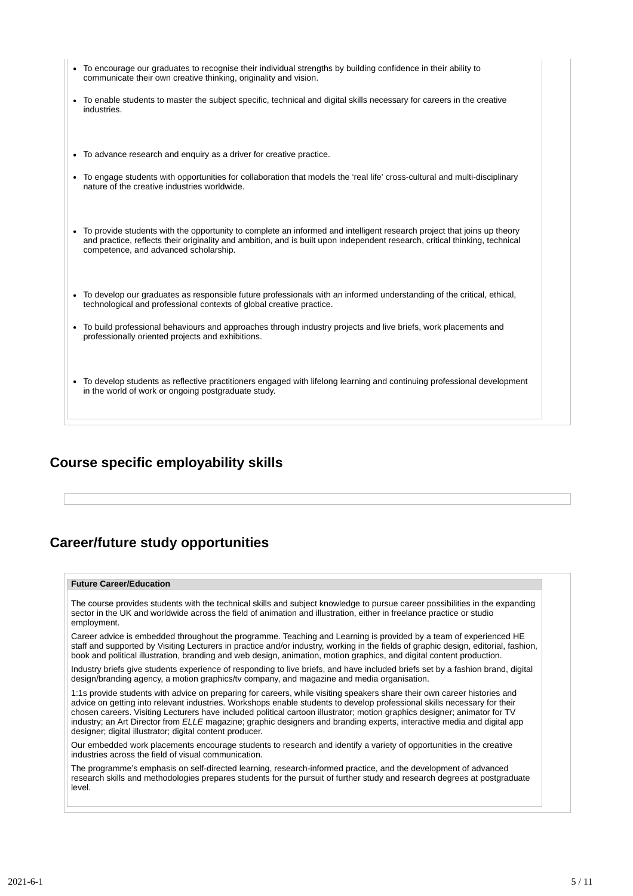| • To encourage our graduates to recognise their individual strengths by building confidence in their ability to<br>communicate their own creative thinking, originality and vision.                                                                                                            |  |  |  |  |  |
|------------------------------------------------------------------------------------------------------------------------------------------------------------------------------------------------------------------------------------------------------------------------------------------------|--|--|--|--|--|
| • To enable students to master the subject specific, technical and digital skills necessary for careers in the creative<br>industries.                                                                                                                                                         |  |  |  |  |  |
| • To advance research and enquiry as a driver for creative practice.                                                                                                                                                                                                                           |  |  |  |  |  |
| • To engage students with opportunities for collaboration that models the 'real life' cross-cultural and multi-disciplinary<br>nature of the creative industries worldwide.                                                                                                                    |  |  |  |  |  |
| To provide students with the opportunity to complete an informed and intelligent research project that joins up theory<br>and practice, reflects their originality and ambition, and is built upon independent research, critical thinking, technical<br>competence, and advanced scholarship. |  |  |  |  |  |
| • To develop our graduates as responsible future professionals with an informed understanding of the critical, ethical,<br>technological and professional contexts of global creative practice.                                                                                                |  |  |  |  |  |
| • To build professional behaviours and approaches through industry projects and live briefs, work placements and<br>professionally oriented projects and exhibitions.                                                                                                                          |  |  |  |  |  |
| • To develop students as reflective practitioners engaged with lifelong learning and continuing professional development<br>in the world of work or ongoing postgraduate study.                                                                                                                |  |  |  |  |  |

### **Course specific employability skills**

### **Career/future study opportunities**

### **Future Career/Education**

The course provides students with the technical skills and subject knowledge to pursue career possibilities in the expanding sector in the UK and worldwide across the field of animation and illustration, either in freelance practice or studio employment.

Career advice is embedded throughout the programme. Teaching and Learning is provided by a team of experienced HE staff and supported by Visiting Lecturers in practice and/or industry, working in the fields of graphic design, editorial, fashion, book and political illustration, branding and web design, animation, motion graphics, and digital content production.

Industry briefs give students experience of responding to live briefs, and have included briefs set by a fashion brand, digital design/branding agency, a motion graphics/tv company, and magazine and media organisation.

1:1s provide students with advice on preparing for careers, while visiting speakers share their own career histories and advice on getting into relevant industries. Workshops enable students to develop professional skills necessary for their chosen careers. Visiting Lecturers have included political cartoon illustrator; motion graphics designer; animator for TV industry; an Art Director from *ELLE* magazine; graphic designers and branding experts, interactive media and digital app designer; digital illustrator; digital content producer.

Our embedded work placements encourage students to research and identify a variety of opportunities in the creative industries across the field of visual communication.

The programme's emphasis on self-directed learning, research-informed practice, and the development of advanced research skills and methodologies prepares students for the pursuit of further study and research degrees at postgraduate level.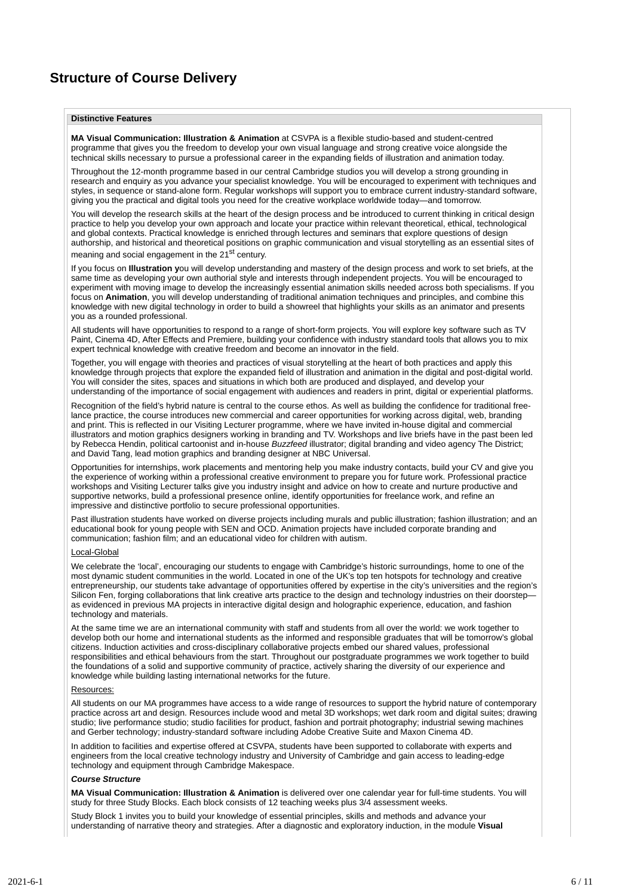### **Structure of Course Delivery**

#### **Distinctive Features**

**MA Visual Communication: Illustration & Animation** at CSVPA is a flexible studio-based and student-centred programme that gives you the freedom to develop your own visual language and strong creative voice alongside the technical skills necessary to pursue a professional career in the expanding fields of illustration and animation today.

Throughout the 12-month programme based in our central Cambridge studios you will develop a strong grounding in research and enquiry as you advance your specialist knowledge. You will be encouraged to experiment with techniques and styles, in sequence or stand-alone form. Regular workshops will support you to embrace current industry-standard software, giving you the practical and digital tools you need for the creative workplace worldwide today—and tomorrow.

You will develop the research skills at the heart of the design process and be introduced to current thinking in critical design practice to help you develop your own approach and locate your practice within relevant theoretical, ethical, technological and global contexts. Practical knowledge is enriched through lectures and seminars that explore questions of design authorship, and historical and theoretical positions on graphic communication and visual storytelling as an essential sites of meaning and social engagement in the 21<sup>st</sup> century.

If you focus on **Illustration y**ou will develop understanding and mastery of the design process and work to set briefs, at the same time as developing your own authorial style and interests through independent projects. You will be encouraged to experiment with moving image to develop the increasingly essential animation skills needed across both specialisms. If you focus on **Animation**, you will develop understanding of traditional animation techniques and principles, and combine this knowledge with new digital technology in order to build a showreel that highlights your skills as an animator and presents you as a rounded professional.

All students will have opportunities to respond to a range of short-form projects. You will explore key software such as TV Paint, Cinema 4D, After Effects and Premiere, building your confidence with industry standard tools that allows you to mix expert technical knowledge with creative freedom and become an innovator in the field.

Together, you will engage with theories and practices of visual storytelling at the heart of both practices and apply this knowledge through projects that explore the expanded field of illustration and animation in the digital and post-digital world. You will consider the sites, spaces and situations in which both are produced and displayed, and develop your understanding of the importance of social engagement with audiences and readers in print, digital or experiential platforms.

Recognition of the field's hybrid nature is central to the course ethos. As well as building the confidence for traditional freelance practice, the course introduces new commercial and career opportunities for working across digital, web, branding and print. This is reflected in our Visiting Lecturer programme, where we have invited in-house digital and commercial illustrators and motion graphics designers working in branding and TV. Workshops and live briefs have in the past been led by Rebecca Hendin, political cartoonist and in-house *Buzzfeed* illustrator; digital branding and video agency The District; and David Tang, lead motion graphics and branding designer at NBC Universal.

Opportunities for internships, work placements and mentoring help you make industry contacts, build your CV and give you the experience of working within a professional creative environment to prepare you for future work. Professional practice workshops and Visiting Lecturer talks give you industry insight and advice on how to create and nurture productive and supportive networks, build a professional presence online, identify opportunities for freelance work, and refine an impressive and distinctive portfolio to secure professional opportunities.

Past illustration students have worked on diverse projects including murals and public illustration; fashion illustration; and an educational book for young people with SEN and OCD. Animation projects have included corporate branding and communication; fashion film; and an educational video for children with autism.

#### Local-Global

We celebrate the 'local', encouraging our students to engage with Cambridge's historic surroundings, home to one of the most dynamic student communities in the world. Located in one of the UK's top ten hotspots for technology and creative entrepreneurship, our students take advantage of opportunities offered by expertise in the city's universities and the region's Silicon Fen, forging collaborations that link creative arts practice to the design and technology industries on their doorstep as evidenced in previous MA projects in interactive digital design and holographic experience, education, and fashion technology and materials.

At the same time we are an international community with staff and students from all over the world: we work together to develop both our home and international students as the informed and responsible graduates that will be tomorrow's global citizens. Induction activities and cross-disciplinary collaborative projects embed our shared values, professional responsibilities and ethical behaviours from the start. Throughout our postgraduate programmes we work together to build the foundations of a solid and supportive community of practice, actively sharing the diversity of our experience and knowledge while building lasting international networks for the future.

#### Resources:

All students on our MA programmes have access to a wide range of resources to support the hybrid nature of contemporary practice across art and design. Resources include wood and metal 3D workshops; wet dark room and digital suites; drawing studio; live performance studio; studio facilities for product, fashion and portrait photography; industrial sewing machines and Gerber technology; industry-standard software including Adobe Creative Suite and Maxon Cinema 4D.

In addition to facilities and expertise offered at CSVPA, students have been supported to collaborate with experts and engineers from the local creative technology industry and University of Cambridge and gain access to leading-edge technology and equipment through Cambridge Makespace.

#### *Course Structure*

**MA Visual Communication: Illustration & Animation** is delivered over one calendar year for full-time students. You will study for three Study Blocks. Each block consists of 12 teaching weeks plus 3/4 assessment weeks.

Study Block 1 invites you to build your knowledge of essential principles, skills and methods and advance your understanding of narrative theory and strategies. After a diagnostic and exploratory induction, in the module **Visual**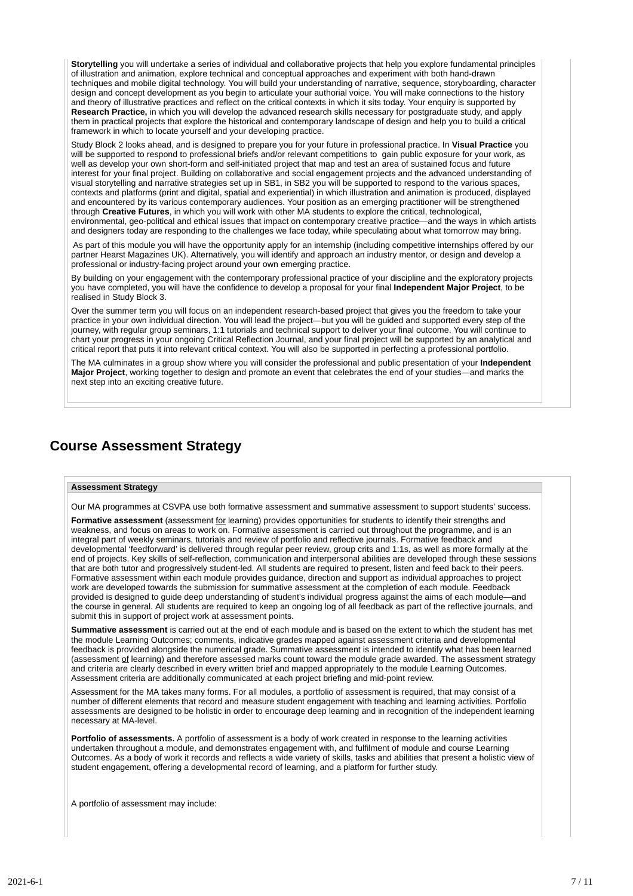**Storytelling** you will undertake a series of individual and collaborative projects that help you explore fundamental principles of illustration and animation, explore technical and conceptual approaches and experiment with both hand-drawn techniques and mobile digital technology. You will build your understanding of narrative, sequence, storyboarding, character design and concept development as you begin to articulate your authorial voice. You will make connections to the history and theory of illustrative practices and reflect on the critical contexts in which it sits today. Your enquiry is supported by **Research Practice,** in which you will develop the advanced research skills necessary for postgraduate study, and apply them in practical projects that explore the historical and contemporary landscape of design and help you to build a critical framework in which to locate yourself and your developing practice.

Study Block 2 looks ahead, and is designed to prepare you for your future in professional practice. In **Visual Practice** you will be supported to respond to professional briefs and/or relevant competitions to gain public exposure for your work, as well as develop your own short-form and self-initiated project that map and test an area of sustained focus and future interest for your final project. Building on collaborative and social engagement projects and the advanced understanding of visual storytelling and narrative strategies set up in SB1, in SB2 you will be supported to respond to the various spaces, contexts and platforms (print and digital, spatial and experiential) in which illustration and animation is produced, displayed and encountered by its various contemporary audiences. Your position as an emerging practitioner will be strengthened through **Creative Futures**, in which you will work with other MA students to explore the critical, technological, environmental, geo-political and ethical issues that impact on contemporary creative practice—and the ways in which artists and designers today are responding to the challenges we face today, while speculating about what tomorrow may bring.

As part of this module you will have the opportunity apply for an internship (including competitive internships offered by our partner Hearst Magazines UK). Alternatively, you will identify and approach an industry mentor, or design and develop a professional or industry-facing project around your own emerging practice.

By building on your engagement with the contemporary professional practice of your discipline and the exploratory projects you have completed, you will have the confidence to develop a proposal for your final **Independent Major Project**, to be realised in Study Block 3.

Over the summer term you will focus on an independent research-based project that gives you the freedom to take your practice in your own individual direction. You will lead the project—but you will be guided and supported every step of the journey, with regular group seminars, 1:1 tutorials and technical support to deliver your final outcome. You will continue to chart your progress in your ongoing Critical Reflection Journal, and your final project will be supported by an analytical and critical report that puts it into relevant critical context. You will also be supported in perfecting a professional portfolio.

The MA culminates in a group show where you will consider the professional and public presentation of your **Independent Major Project**, working together to design and promote an event that celebrates the end of your studies—and marks the next step into an exciting creative future.

### **Course Assessment Strategy**

#### **Assessment Strategy**

Our MA programmes at CSVPA use both formative assessment and summative assessment to support students' success.

**Formative assessment** (assessment for learning) provides opportunities for students to identify their strengths and weakness, and focus on areas to work on. Formative assessment is carried out throughout the programme, and is an integral part of weekly seminars, tutorials and review of portfolio and reflective journals. Formative feedback and developmental 'feedforward' is delivered through regular peer review, group crits and 1:1s, as well as more formally at the end of projects. Key skills of self-reflection, communication and interpersonal abilities are developed through these sessions that are both tutor and progressively student-led. All students are required to present, listen and feed back to their peers. Formative assessment within each module provides guidance, direction and support as individual approaches to project work are developed towards the submission for summative assessment at the completion of each module. Feedback provided is designed to guide deep understanding of student's individual progress against the aims of each module—and the course in general. All students are required to keep an ongoing log of all feedback as part of the reflective journals, and submit this in support of project work at assessment points.

**Summative assessment** is carried out at the end of each module and is based on the extent to which the student has met the module Learning Outcomes; comments, indicative grades mapped against assessment criteria and developmental feedback is provided alongside the numerical grade. Summative assessment is intended to identify what has been learned (assessment of learning) and therefore assessed marks count toward the module grade awarded. The assessment strategy and criteria are clearly described in every written brief and mapped appropriately to the module Learning Outcomes. Assessment criteria are additionally communicated at each project briefing and mid-point review.

Assessment for the MA takes many forms. For all modules, a portfolio of assessment is required, that may consist of a number of different elements that record and measure student engagement with teaching and learning activities. Portfolio assessments are designed to be holistic in order to encourage deep learning and in recognition of the independent learning necessary at MA-level.

**Portfolio of assessments.** A portfolio of assessment is a body of work created in response to the learning activities undertaken throughout a module, and demonstrates engagement with, and fulfilment of module and course Learning Outcomes. As a body of work it records and reflects a wide variety of skills, tasks and abilities that present a holistic view of student engagement, offering a developmental record of learning, and a platform for further study.

A portfolio of assessment may include: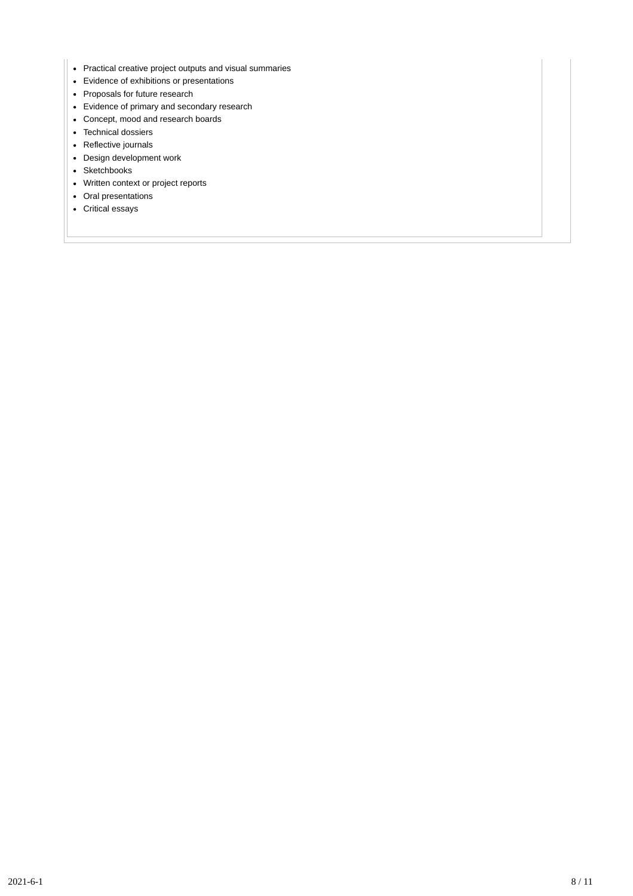- Practical creative project outputs and visual summaries
- Evidence of exhibitions or presentations
- Proposals for future research
- Evidence of primary and secondary research
- Concept, mood and research boards
- Technical dossiers
- Reflective journals
- Design development work
- Sketchbooks
- Written context or project reports
- Oral presentations
- Critical essays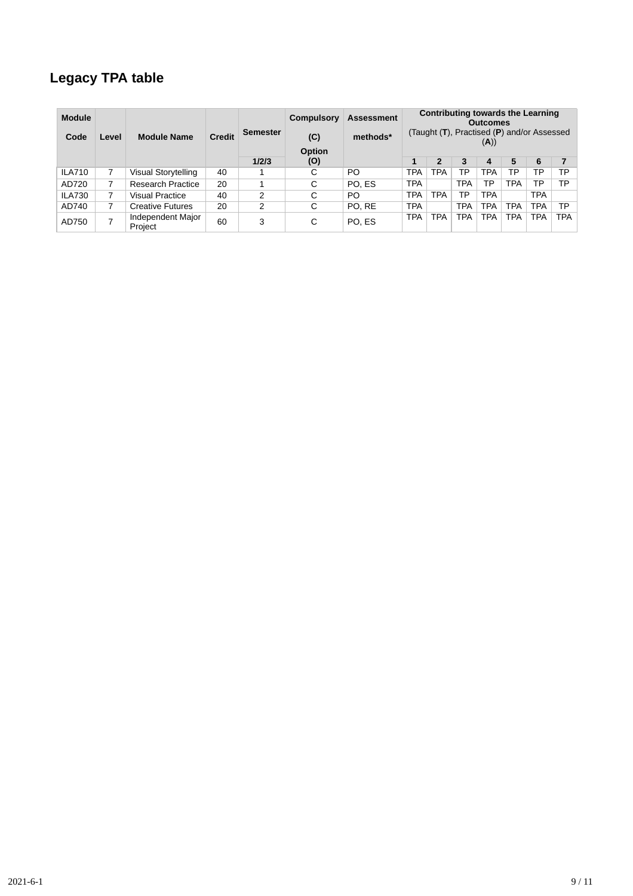## **Legacy TPA table**

| <b>Module</b><br>Code | Level          | <b>Module Name</b>           | Credit | Semester | Compulsory<br>(C)<br>Option | <b>Assessment</b><br>methods* |            | Contributing towards the Learning<br><b>Outcomes</b><br>(Taught $(T)$ , Practised $(P)$ and/or Assessed<br>(A)) |            |            |            |            |            |
|-----------------------|----------------|------------------------------|--------|----------|-----------------------------|-------------------------------|------------|-----------------------------------------------------------------------------------------------------------------|------------|------------|------------|------------|------------|
|                       |                |                              |        | 1/2/3    | (0)                         |                               | 1          | 2                                                                                                               | 3          | 4          | 5          | 6          |            |
| <b>ILA710</b>         |                | Visual Storytelling          | 40     |          | ⌒<br>Ĉ                      | PO                            | <b>TPA</b> | <b>TPA</b>                                                                                                      | ТP         | TPA        | ТP         | ТP         | ТP         |
| AD720                 |                | Research Practice            | 20     |          | С                           | PO. ES                        | <b>TPA</b> |                                                                                                                 | <b>TPA</b> | ТP         | <b>TPA</b> | ТP         | ТP         |
| <b>ILA730</b>         |                | <b>Visual Practice</b>       | 40     | 2        | С                           | PO                            | <b>TPA</b> | <b>TPA</b>                                                                                                      | ТP         | <b>TPA</b> |            | TPA        |            |
| AD740                 |                | <b>Creative Futures</b>      | 20     | 2        | C                           | PO. RE                        | <b>TPA</b> |                                                                                                                 | <b>TPA</b> | <b>TPA</b> | <b>TPA</b> | <b>TPA</b> | ТP         |
| AD750                 | $\overline{ }$ | Independent Major<br>Project | 60     | 3        | С                           | PO. ES                        | <b>TPA</b> | <b>TPA</b>                                                                                                      | <b>TPA</b> | <b>TPA</b> | <b>TPA</b> | TPA        | <b>TPA</b> |